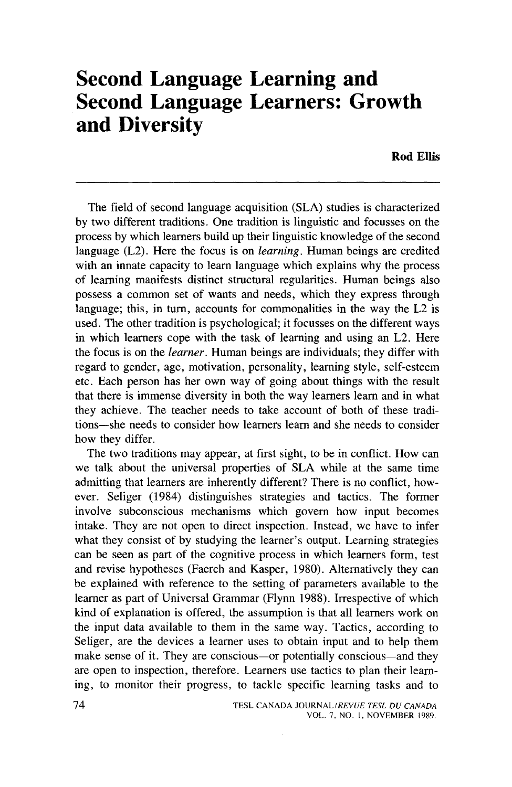# **Second Language Learning and Second Language Learners: Growth and Diversity**

**Rod Ellis**

The field of second language acquisition (SLA) studies is characterized by two different traditions. One tradition is linguistic and focusses on the process by which learners build up their linguistic knowledge of the second language (L2). Here the focus is on *learning.* Human beings are credited with an innate capacity to learn language which explains why the process of learning manifests distinct structural regularities. Human beings also possess a common set of wants and needs, which they express through language; this, in tum, accounts for commonalities in the way the L2 is used. The other tradition is psychological; it focusses on the different ways in which learners cope with the task of learning and using an L2. Here the focus is on the *learner.* Human beings are individuals; they differ with regard to gender, age, motivation, personality, learning style, self-esteem etc. Each person has her own way of going about things with the result that there is immense diversity in both the way learners learn and in what they achieve. The teacher needs to take account of both of these traditions-she needs to consider how learners learn and she needs to consider how they differ.

The two traditions may appear, at first sight, to be in conflict. How can we talk about the universal properties of SLA while at the same time admitting that learners are inherently different? There is no conflict, however. Seliger (1984) distinguishes strategies and tactics. The former involve subconscious mechanisms which govern how input becomes intake. They are not open to direct inspection. Instead, we have to infer what they consist of by studying the leamer's output. Learning strategies can be seen as part of the cognitive process in which learners form, test and revise hypotheses (Faerch and Kasper, 1980). Alternatively they can be explained with reference to the setting of parameters available to the learner as part of Universal Grammar (Flynn 1988). Irrespective of which kind of explanation is offered, the assumption is that all learners work on the input data available to them in the same way. Tactics, according to Seliger, are the devices a learner uses to obtain input and to help them make sense of it. They are conscious—or potentially conscious—and they are open to inspection, therefore. Learners use tactics to plan their learning, to monitor their progress, to tackle specific learning tasks and to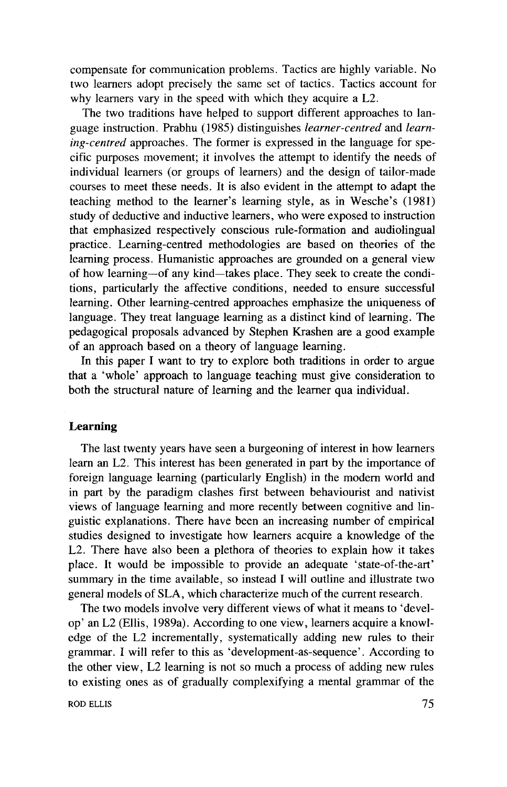compensate for communication problems. Tactics are highly variable. No two learners adopt precisely the same set of tactics. Tactics account for why learners vary in the speed with which they acquire a L2.

The two traditions have helped to support different approaches to language instruction. Prabhu (1985) distinguishes *learner-centred* and *learning-centred* approaches. The former is expressed in the language for specific purposes movement; it involves the attempt to identify the needs of individual learners (or groups of learners) and the design of tailor-made courses to meet these needs. It is also evident in the attempt to adapt the teaching method to the learner's learning style, as in Wesche's (1981) study of deductive and inductive learners, who were exposed to instruction that emphasized respectively conscious rule-formation and audiolingual practice. Learning-centred methodologies are based on theories of the learning process. Humanistic approaches are grounded on a general view of how learning-of any kind-takes place. They seek to create the conditions, particularly the affective conditions, needed to ensure successful learning. Other learning-centred approaches emphasize the uniqueness of language. They treat language learning as a distinct kind of learning. The pedagogical proposals advanced by Stephen Krashen are a good example of an approach based on a theory of language learning.

**In** this paper I want to try to explore both traditions in order to argue that a 'whole' approach to language teaching must give consideration to both the structural nature of learning and the learner qua individual.

# **Learning**

The last twenty years have seen a burgeoning of interest in how learners learn an L2. This interest has been generated in part by the importance of foreign language learning (particularly English) in the modem world and in part by the paradigm clashes first between behaviourist and nativist views of language learning and more recently between cognitive and linguistic explanations. There have been an increasing number of empirical studies designed to investigate how learners acquire a knowledge of the L2. There have also been a plethora of theories to explain how it takes place. It would be impossible to provide an adequate 'state-of-the-art' summary in the time available, so instead I will outline and illustrate two general models of SLA, which characterize much of the current research.

The two models involve very different views of what it means to 'develop' an L2 (Ellis, 1989a). According to one view, learners acquire a knowledge of the L2 incrementally, systematically adding new rules to their grammar. I will refer to this as 'development-as-sequence'. According to the other view, L2 learning is not so much a process of adding new rules to existing ones as of gradually complexifying a mental grammar of the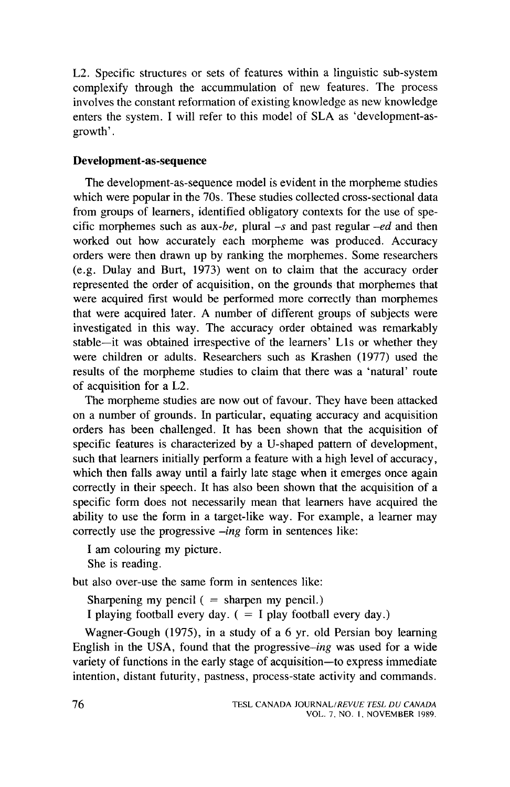L2. Specific structures or sets of features within a linguistic sub-system complexify through the accummulation of new features. The process involves the constant reformation of existing knowledge as new knowledge enters the system. I will refer to this model of SLA as 'development-asgrowth' .

## **Development-as-sequence**

The development-as-sequence model is evident in the morpheme studies which were popular in the 70s. These studies collected cross-sectional data from groups of learners, identified obligatory contexts for the use of specific morphemes such as aux-be, plural *-s* and past regular *-ed* and then worked out how accurately each morpheme was produced. Accuracy orders were then drawn up by ranking the morphemes. Some researchers (e.g. Dulay and Burt, 1973) went on to claim that the accuracy order represented the order of acquisition, on the grounds that morphemes that were acquired first would be performed more correctly than morphemes that were acquired later. A number of different groups of subjects were investigated in this way. The accuracy order obtained was remarkably stable-it was obtained irrespective of the learners' L1s or whether they were children or adults. Researchers such as Krashen (1977) used the results of the morpheme studies to claim that there was a 'natural' route of acquisition for a L2.

The morpheme studies are now out of favour. They have been attacked on a number of grounds. In particular, equating accuracy and acquisition orders has been challenged. It has been shown that the acquisition of specific features is characterized by a U-shaped pattern of development, such that learners initially perform a feature with a high level of accuracy, which then falls away until a fairly late stage when it emerges once again correctly in their speech. It has also been shown that the acquisition of a specific form does not necessarily mean that learners have acquired the ability to use the form in a target-like way. For example, a learner may correctly use the progressive *-ing* form in sentences like:

I am colouring my picture. She is reading.

but also over-use the same form in sentences like:

Sharpening my pencil  $($  = sharpen my pencil.)

I playing football every day.  $( = I$  play football every day.)

Wagner-Gough (1975), in a study of a 6 yr. old Persian boy learning English in the USA, found that the progressive-ing was used for a wide variety of functions in the early stage of acquisition-to express immediate intention, distant futurity, pastness, process-state activity and commands.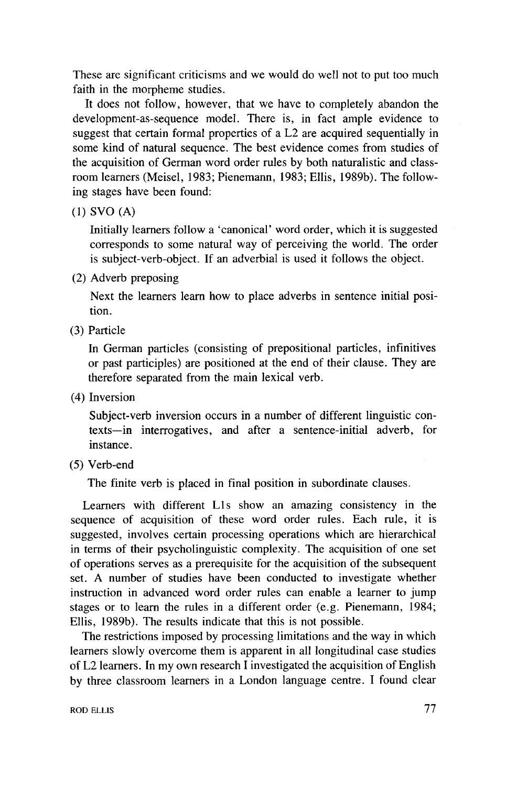These are significant criticisms and we would do well not to put too much faith in the morpheme studies.

It does not follow, however, that we have to completely abandon the development-as-sequence model. There is, in fact ample evidence to suggest that certain formal properties of a L2 are acquired sequentially in some kind of natural sequence. The best evidence comes from studies of the acquisition of German word order rules by both naturalistic and classroom learners (Meisel, 1983; Pienemann, 1983; Ellis, 1989b). The following stages have been found:

(1) SVO (A)

Initially learners follow a 'canonical' word order, which it is suggested corresponds to some natural way of perceiving the world. The order is subject-verb-object. If an adverbial is used it follows the object.

(2) Adverb preposing

Next the learners learn how to place adverbs in sentence initial position.

(3) Particle

In German particles (consisting of prepositional particles, infinitives or past participles) are positioned at the end of their clause. They are therefore separated from the main lexical verb.

(4) Inversion

Subject-verb inversion occurs in a number of different linguistic contexts-in interrogatives, and after a sentence-initial adverb, for instance.

(5) Verb-end

The finite verb is placed in final position in subordinate clauses.

Learners with different LIs show an amazing consistency in the sequence of acquisition of these word order rules. Each rule, it is suggested, involves certain processing operations which are hierarchical in terms of their psycholinguistic complexity. The acquisition of one set of operations serves as a prerequisite for the acquisition of the subsequent set. A number of studies have been conducted to investigate whether instruction in advanced word order rules can enable a learner to jump stages or to learn the rules in a different order (e.g. Pienemann, 1984; Ellis, 1989b). The results indicate that this is not possible.

The restrictions imposed by processing limitations and the way in which learners slowly overcome them is apparent in all longitudinal case studies of L2 learners. In my own research I investigated the acquisition of English by three classroom learners in a London language centre. I found clear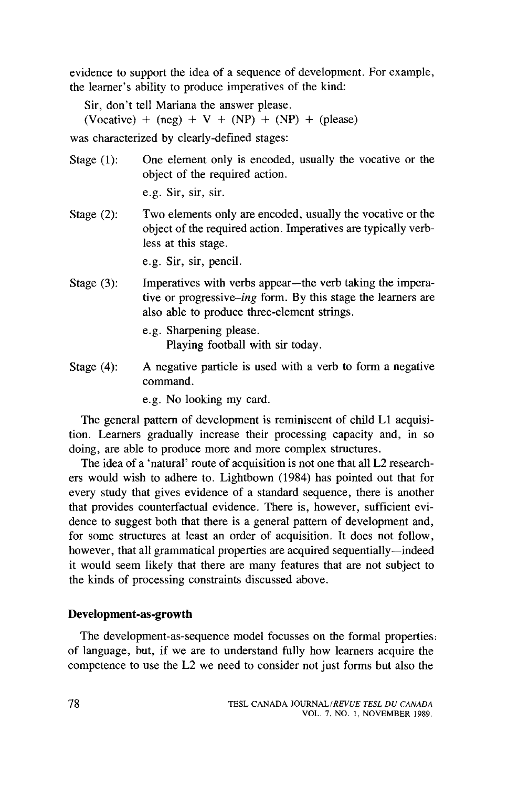evidence to support the idea of a sequence of development. For example, the leamer's ability to produce imperatives of the kind:

Sir, don't tell Mariana the answer please.

 $(Vocative) + (neg) + V + (NP) + (NP) + (please)$ 

was characterized by clearly-defined stages:

Stage (1): One element only is encoded, usually the vocative or the object of the required action.

e.g. Sir, sir, sir.

Stage (2): Two elements only are encoded, usually the vocative or the object of the required action. Imperatives are typically verbless at this stage.

e.g. Sir, sir, pencil.

- Stage (3): Imperatives with verbs appear—the verb taking the imperative or progressive-ing form. By this stage the learners are also able to produce three-element strings.
	- e.g. Sharpening please. Playing football with sir today.
- Stage (4): A negative particle is used with a verb to form a negative command.

e.g. No looking my card.

The general pattern of development is reminiscent of child **Ll** acquisition. Learners gradually increase their processing capacity and, in so doing, are able to produce more and more complex structures.

The idea of a 'natural' route of acquisition is not one that all L2 researchers would wish to adhere to. Lightbown (1984) has pointed out that for every study that gives evidence of a standard sequence, there is another that provides counterfactual evidence. There is, however, sufficient evidence to suggest both that there is a general pattern of development and, for some structures at least an order of acquisition. It does not follow, however, that all grammatical properties are acquired sequentially—indeed it would seem likely that there are many features that are not subject to the kinds of processing constraints discussed above.

# **Development-as-growth**

The development-as-sequence model focusses on the formal properties: of language, but, if we are to understand fully how learners acquire the competence to use the L2 we need to consider not just forms but also the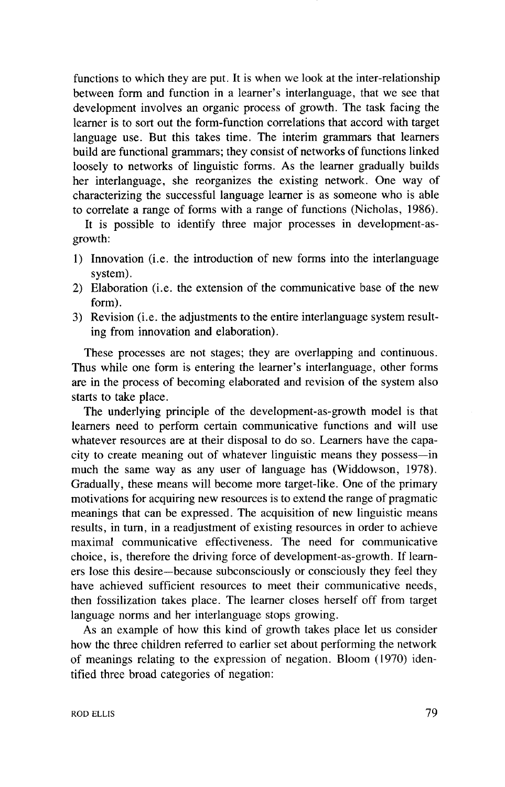functions to which they are put. It is when we look at the inter-relationship between form and function in a leamer's interlanguage, that we see that development involves an organic process of growth. The task facing the learner is to sort out the form-function correlations that accord with target language use. But this takes time. The interim grammars that learners build are functional grammars; they consist of networks of functions linked loosely to networks of linguistic forms. As the learner gradually builds her interlanguage, she reorganizes the existing network. One way of characterizing the successful language learner is as someone who is able to correlate a range of forms with a range of functions (Nicholas, 1986).

It is possible to identify three major processes in development-asgrowth:

- 1) Innovation (Le. the introduction of new forms into the interlanguage system).
- 2) Elaboration (i.e. the extension of the communicative base of the new form).
- 3) Revision (i.e. the adjustments to the entire interlanguage system resulting from innovation and elaboration).

These processes are not stages; they are overlapping and continuous. Thus while one form is entering the leamer's interlanguage, other forms are in the process of becoming elaborated and revision of the system also starts to take place.

The underlying principle of the development-as-growth model is that learners need to perform certain communicative functions and will use whatever resources are at their disposal to do so. Learners have the capacity to create meaning out of whatever linguistic means they possess-in much the same way as any user of language has (Widdowson, 1978). Gradually, these means will become more target-like. One of the primary motivations for acquiring new resources is to extend the range of pragmatic meanings that can be expressed. The acquisition of new linguistic means results, in tum, in a readjustment of existing resources in order to achieve maximal communicative effectiveness. The need for communicative choice, is, therefore the driving force of development-as-growth. If learners lose this desire-because subconsciously or consciously they feel they have achieved sufficient resources to meet their communicative needs, then fossilization takes place. The learner closes herself off from target language norms and her interlanguage stops growing.

As an example of how this kind of growth takes place let us consider how the three children referred to earlier set about performing the network of meanings relating to the expression of negation. Bloom (1970) identified three broad categories of negation: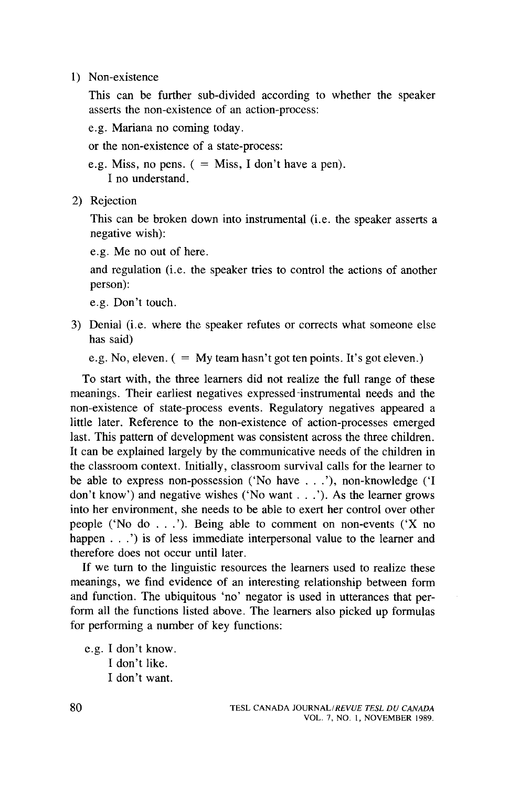1) Non-existence

This can be further sub-divided according to whether the speaker asserts the non-existence of an action-process:

e.g. Mariana no coming today.

or the non-existence of a state-process:

e.g. Miss, no pens.  $($  = Miss, I don't have a pen). I no understand.

2) Rejection

This can be broken down into instrumental (i.e. the speaker asserts a negative wish):

e.g. Me no out of here.

and regulation (i.e. the speaker tries to control the actions of another person):

e.g. Don't touch.

3) Denial (i.e. where the speaker refutes or corrects what someone else has said)

e.g. No, eleven.  $($  = My team hasn't got ten points. It's got eleven.)

To start with, the three learners did not realize the full range of these meanings. Their earliest negatives expressed -instrumental needs and the non-existence of state-process events. Regulatory negatives appeared a little later. Reference to the non-existence of action-processes emerged last. This pattern of development was consistent across the three children. It can be explained largely by the communicative needs of the children in the classroom context. Initially, classroom survival calls for the learner to be able to express non-possession ('No have  $\dots$ '), non-knowledge ('I don't know') and negative wishes ('No want  $\ldots$ '). As the learner grows into her environment, she needs to be able to exert her control over other people ('No do ...'). Being able to comment on non-events ('X no happen . . .') is of less immediate interpersonal value to the learner and therefore does not occur until later.

If we tum to the linguistic resources the learners used to realize these meanings, we find evidence of an interesting relationship between form and function. The ubiquitous 'no' negator is used in utterances that perform all the functions listed above. The learners also picked up formulas for performing a number of key functions:

e.g. I don't know. I don't like. I don't want.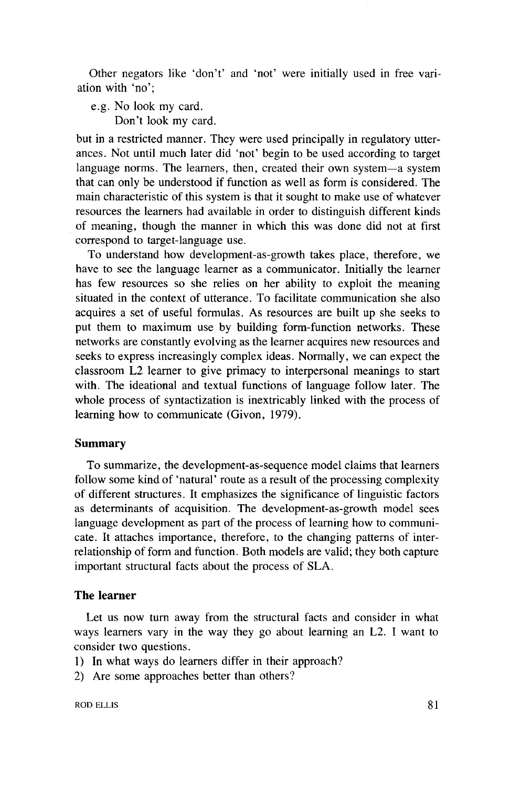Other negators like 'don't' and 'not' were initially used in free variation with 'no';

e.g. No look my card.

Don't look my card.

but in a restricted manner. They were used principally in regulatory utterances. Not until much later did 'not' begin to be used according to target language norms. The learners, then, created their own system—a system that can only be understood if function as well as form is considered. The main characteristic of this system is that it sought to make use of whatever resources the learners had available in order to distinguish different kinds of meaning, though the manner in which this was done did not at first correspond to target-language use.

To understand how development-as-growth takes place, therefore, we have to see the language learner as a communicator. Initially the learner has few resources so she relies on her ability to exploit the meaning situated in the context of utterance. To facilitate communication she also acquires a set of useful formulas. As resources are built up she seeks to put them to maximum use by building form-function networks. These networks are constantly evolving as the learner acquires new resources and seeks to express increasingly complex ideas. Normally, we can expect the classroom L2 learner to give primacy to interpersonal meanings to start with. The ideational and textual functions of language follow later. The whole process of syntactization is inextricably linked with the process of learning how to communicate (Givon, 1979).

## **Summary**

To summarize, the development-as-sequence model claims that learners follow some kind of 'natural' route as a result of the processing complexity of different structures. It emphasizes the significance of linguistic factors as determinants of acquisition. The development-as-growth model sees language development as part of the process of learning how to communicate. It attaches importance, therefore, to the changing patterns of interrelationship of form and function. Both models are valid; they both capture important structural facts about the process of SLA.

## **The learner**

Let us now tum away from the structural facts and consider in what ways learners vary in the way they go about learning an L2. I want to consider two questions.

- 1) **In** what ways do learners differ in their approach?
- 2) Are some approaches better than others?

 $\sim$  81  $\sim$  81  $\sim$  81  $\sim$  81  $\sim$  81  $\sim$  81  $\sim$  81  $\sim$  81  $\sim$  81  $\sim$  81  $\sim$  81  $\sim$  81  $\sim$  81  $\sim$  81  $\sim$  81  $\sim$  81  $\sim$  81  $\sim$  81  $\sim$  81  $\sim$  81  $\sim$  81  $\sim$  81  $\sim$  81  $\sim$  81  $\sim$  81  $\sim$  81  $\sim$  81  $\sim$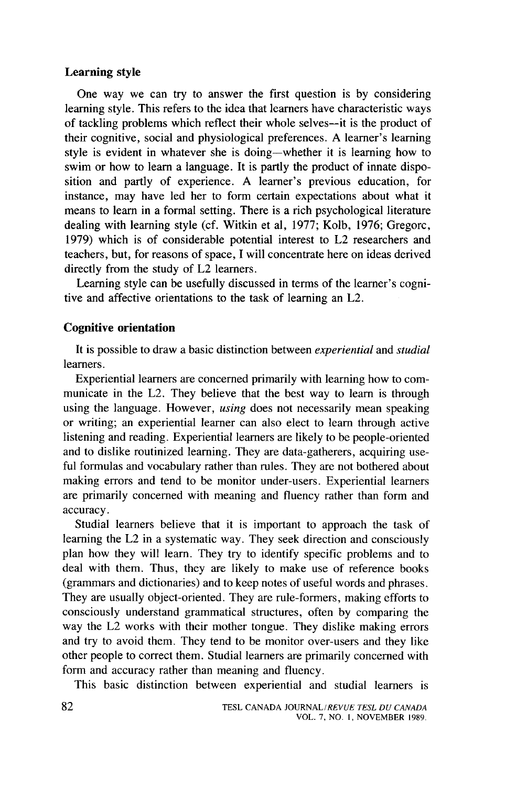## **Learning style**

One way we can try to answer the first question is by considering learning style. This refers to the idea that learners have characteristic ways of tackling problems which reflect their whole selves-it is the product of their cognitive, social and physiological preferences. A learner's learning style is evident in whatever she is doing-whether it is learning how to swim or how to learn a language. It is partly the product of innate disposition and partly of experience. A learner's previous education, for instance, may have led her to form certain expectations about what it means to learn in a formal setting. There is a rich psychological literature dealing with learning style (cf. Witkin et aI, 1977; Kolb, 1976; Gregorc, 1979) which is of considerable potential interest to L2 researchers and teachers, but, for reasons of space, I will concentrate here on ideas derived directly from the study of L2 learners.

Learning style can be usefully discussed in terms of the learner's cognitive and affective orientations to the task of learning an L2.

# **Cognitive orientation**

It is possible to draw a basic distinction between *experiential* and *studial* learners.

Experiential learners are concerned primarily with learning how to communicate in the L2. They believe that the best way to learn is through using the language. However, *using* does not necessarily mean speaking or writing; an experiential learner can also elect to learn through active listening and reading. Experiential learners are likely to be people-oriented and to dislike routinized learning. They are data-gatherers, acquiring use**ful** formulas and vocabulary rather than rules. They are not bothered about making errors and tend to be monitor under-users. Experiential learners are primarily concerned with meaning and fluency rather than form and accuracy.

Studial learners believe that it is important to approach the task of learning the L2 in a systematic way. They seek direction and consciously plan how they will learn. They try to identify specific problems and to deal with them. Thus, they are likely to make use of reference books (grammars and dictionaries) and to keep notes of useful words and phrases. They are usually object-oriented. They are rule-formers, making efforts to consciously understand grammatical structures, often by comparing the way the L2 works with their mother tongue. They dislike making errors and try to avoid them. They tend to be monitor over-users and they like other people to correct them. Studial learners are primarily concerned with form and accuracy rather than meaning and fluency.

This basic distinction between experiential and studial learners is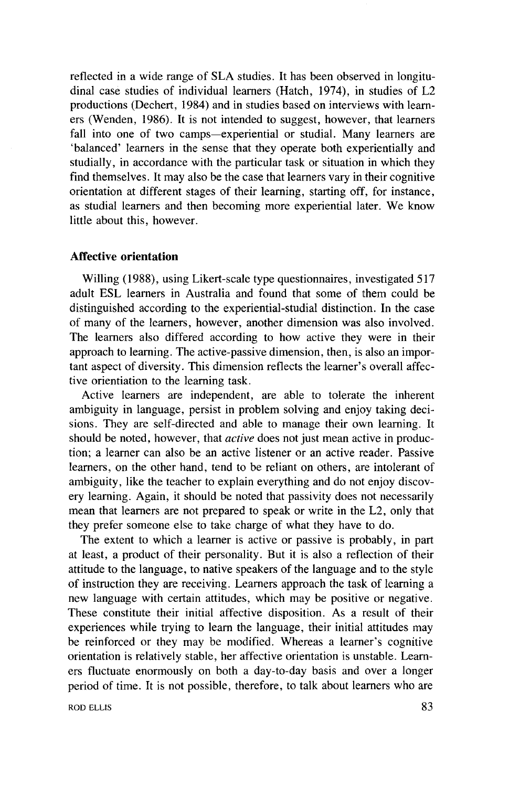reflected in a wide range of SLA studies. It has been observed in longitudinal case studies of individual learners (Hatch, 1974), in studies of L2 productions (Dechert, 1984) and in studies based on interviews with learners (Wenden, 1986). It is not intended to suggest, however, that learners fall into one of two camps-experiential or studial. Many learners are 'balanced' learners in the sense that they operate both experientially and studially, in accordance with the particular task or situation in which they find themselves. It may also be the case that learners vary in their cognitive orientation at different stages of their learning, starting off, for instance, as studial learners and then becoming more experiential later. We know little about this, however.

## Affective **orientation**

Willing (1988), using Likert-scale type questionnaires, investigated 517 adult ESL learners in Australia and found that some of them could be distinguished according to the experiential-studial distinction. In the case of many of the learners, however, another dimension was also involved. The learners also differed according to how active they were in their approach to learning. The active-passive dimension, then, is also an important aspect of diversity. This dimension reflects the learner's overall affective orientiation to the learning task.

Active learners are independent, are able to tolerate the inherent ambiguity in language, persist in problem solving and enjoy taking decisions. They are self-directed and able to manage their own learning. It should be noted, however, that *active* does not just mean active in production; a learner can also be an active listener or an active reader. Passive learners, on the other hand, tend to be reliant on others, are intolerant of ambiguity, like the teacher to explain everything and do not enjoy discovery learning. Again, it should be noted that passivity does not necessarily mean that learners are not prepared to speak or write in the L2, only that they prefer someone else to take charge of what they have to do.

The extent to which a learner is active or passive is probably, in part at least, a product of their personality. But it is also a reflection of their attitude to the language, to native speakers of the language and to the style of instruction they are receiving. Learners approach the task of learning a new language with certain attitudes, which may be positive or negative. These constitute their initial affective disposition. As a result of their experiences while trying to learn the language, their initial attitudes may be reinforced or they may be modified. Whereas a leamer's cognitive orientation is relatively stable, her affective orientation is unstable. Learners fluctuate enormously on both a day-to-day basis and over a longer period of time. It is not possible, therefore, to talk about learners who are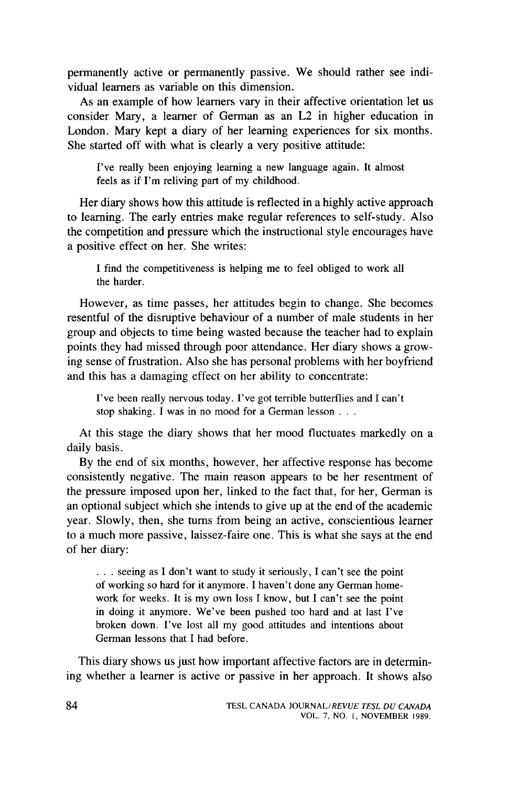permanently active or permanently passive. We should rather see individual learners as variable on this dimension.

As an example of how learners vary in their affective orientation let us consider Mary, a learner of German as an L2 in higher education in London. Mary kept a diary of her learning experiences for six months. She started off with what is clearly a very positive attitude:

I've really been enjoying learning a new language again. It almost feels as if I'm reliving part of my childhood.

Her diary shows how this attitude is reflected in a highly active approach to learning. The early entries make regular references to self-study. Also the competition and pressure which the instructional style encourages have a positive effect on her. She writes:

I find the competitiveness is helping me to feel obliged to work all the harder.

However, as time passes, her attitudes begin to change. She becomes resentful of the disruptive behaviour of a number of male students in her group and objects to time being wasted because the teacher had to explain points they had missed through poor attendance. Her diary shows a growing sense of frustration. Also she has personal problems with her boyfriend and this has a damaging effect on her ability to concentrate:

I've been really nervous today. I've got terrible butterflies and I can't stop shaking. <sup>I</sup> was in no mood for <sup>a</sup> German lesson ...

At this stage the diary shows that her mood fluctuates markedly on a daily basis.

By the end of six months, however, her affective response has become consistently negative. The main reason appears to be her resentment of the pressure imposed upon her, linked to the fact that, for her, German is an optional subject which she intends to give up at the end of the academic year. Slowly, then, she turns from being an active, conscientious learner to a much more passive, laissez-faire one. This is what she says at the end of her diary:

... seeing as <sup>I</sup> don't want to study it seriously, <sup>I</sup> can't see the point of working so hard for it anymore. I haven't done any German homework for weeks. It is my own loss I know, but I can't see the point in doing it anymore. We've been pushed too hard and at last I've broken down. I've lost all my good attitudes and intentions about German lessons that I had before.

This diary shows us just how important affective factors are in determining whether a learner is active or passive in her approach. It shows also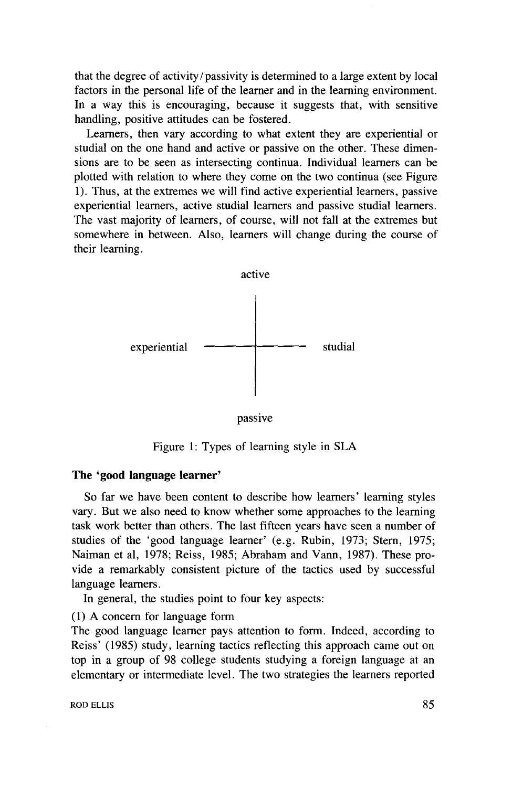that the degree of activity / passivity is determined to a large extent by local factors in the personal life of the learner and in the learning environment. **In** a way this is encouraging, because it suggests that, with sensitive handling, positive attitudes can be fostered.

Learners, then vary according to what extent they are experiential or studial on the one hand and active or passive on the other. These dimensions are to be seen as intersecting continua. Individual learners can be plotted with relation to where they come on the two continua (see Figure 1). Thus, at the extremes we will find active experiential learners, passive experiential learners, active studial learners and passive studial learners. The vast majority of learners, of course, will not fall at the extremes but somewhere in between. Also, learners will change during the course of their learning.



Figure 1: Types of learning style in SLA

#### **The 'good language learner'**

So far we have been content to describe how learners' learning styles vary. But we also need to know whether some approaches to the learning task work better than others. The last fifteen years have seen a number of studies of the 'good language leamer' (e.g. Rubin, 1973; Stem, 1975; Naiman et aI, 1978; Reiss, 1985; Abraham and Vann, 1987). These provide a remarkably consistent picture of the tactics used by successful language learners.

**In** general, the studies point to four key aspects:

(l) A concern for language form

The good language learner pays attention to form. Indeed, according to Reiss' (1985) study, learning tactics reflecting this approach came out on top in a group of 98 college students studying a foreign language at an elementary or intermediate level. The two strategies the learners reported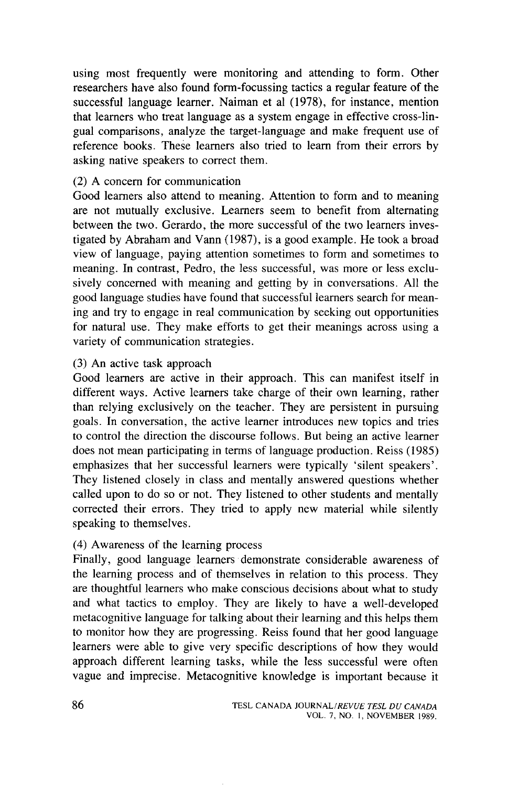using most frequently were monitoring and attending to form. Other researchers have also found form-focussing tactics a regular feature of the successful language learner. Naiman et al (1978), for instance, mention that learners who treat language as a system engage in effective cross-lingual comparisons, analyze the target-language and make frequent use of reference books. These learners also tried to learn from their errors by asking native speakers to correct them.

# (2) A concern for communication

Good learners also attend to meaning. Attention to form and to meaning are not mutually exclusive. Learners seem to benefit from alternating between the two. Gerardo, the more successful of the two learners investigated by Abraham and Vann (1987), is a good example. He took a broad view of language, paying attention sometimes to form and sometimes to meaning. **In** contrast, Pedro, the less successful, was more or less exclusively concerned with meaning and getting by in conversations. All the good language studies have found that successful learners search for meaning and try to engage in real communication by seeking out opportunities for natural use. They make efforts to get their meanings across using a variety of communication strategies.

# (3) An active task approach

Good learners are active in their approach. This can manifest itself in different ways. Active learners take charge of their own learning, rather than relying exclusively on the teacher. They are persistent in pursuing goals. **In** conversation, the active learner introduces new topics and tries to control the direction the discourse follows. But being an active learner does not mean participating in terms of language production. Reiss (1985) emphasizes that her successful learners were typically 'silent speakers'. They listened closely in class and mentally answered questions whether called upon to do so or not. They listened to other students and mentally corrected their errors. They tried to apply new material while silently speaking to themselves.

# (4) Awareness of the learning process

Finally, good language learners demonstrate considerable awareness of the learning process and of themselves in relation to this process. They are thoughtful learners who make conscious decisions about what to study and what tactics to employ. They are likely to have a well-developed metacognitive language for talking about their learning and this helps them to monitor how they are progressing. Reiss found that her good language learners were able to give very specific descriptions of how they would approach different learning tasks, while the less successful were often vague and imprecise. Metacognitive knowledge is important because it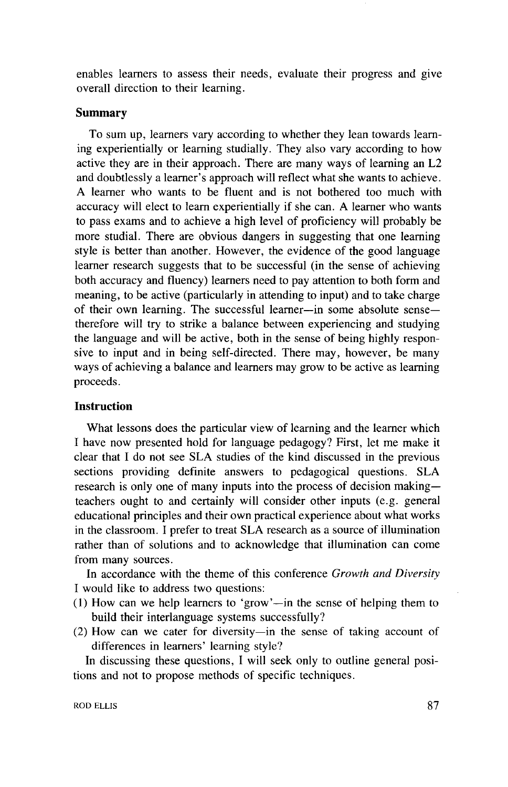enables learners to assess their needs, evaluate their progress and give overall direction to their learning.

#### **Summary**

To sum up, learners vary according to whether they lean towards learning experientially or learning studially. They also vary according to how active they are in their approach. There are many ways of learning an L2 and doubtlessly a learner's approach will reflect what she wants to achieve. A learner who wants to be fluent and is not bothered too much with accuracy will elect to learn experientially if she can. A learner who wants to pass exams and to achieve a high level of proficiency will probably be more studial. There are obvious dangers in suggesting that one learning style is better than another. However, the evidence of the good language learner research suggests that to be successful (in the sense of achieving both accuracy and fluency) learners need to pay attention to both form and meaning, to be active (particularly in attending to input) and to take charge of their own learning. The successful learner-in some absolute sensetherefore will try to strike a balance between experiencing and studying the language and will be active, both in the sense of being highly responsive to input and in being self-directed. There may, however, be many ways of achieving a balance and learners may grow to be active as learning proceeds.

## **Instruction**

What lessons does the particular view of learning and the learner which I have now presented hold for language pedagogy? First, let me make it clear that I do not see SLA studies of the kind discussed in the previous sections providing definite answers to pedagogical questions. SLA research is only one of many inputs into the process of decision makingteachers ought to and certainly will consider other inputs (e.g. general educational principles and their own practical experience about what works in the classroom. I prefer to treat SLA research as a source of illumination rather than of solutions and to acknowledge that illumination can come from many sources.

In accordance with the theme of this conference *Growth and Diversity* I would like to address two questions:

- (1) How can we help learners to 'grow'-in the sense of helping them to build their interlanguage systems successfully?
- (2) How can we cater for diversity-in the sense of taking account of differences in learners' learning style?

In discussing these questions, I will seek only to outline general positions and not to propose methods of specific techniques.

ROD ELLIS  $87$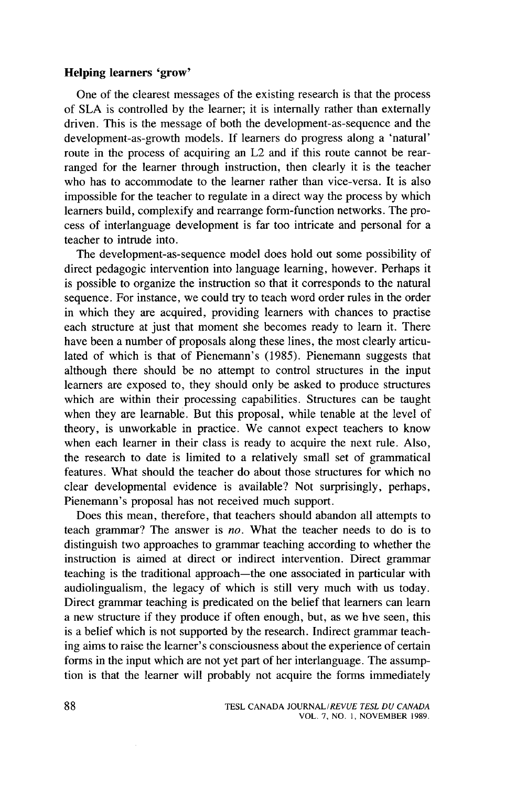#### **Helping learners 'grow'**

One of the clearest messages of the existing research is that the process of SLA is controlled by the learner; it is internally rather than externally driven. This is the message of both the development-as-sequence and the development-as-growth models. If learners do progress along a 'natural' route in the process of acquiring an L2 and if this route cannot be rearranged for the learner through instruction, then clearly it is the teacher who has to accommodate to the learner rather than vice-versa. It is also impossible for the teacher to regulate in a direct way the process by which learners build, complexify and rearrange form-function networks. The process of interlanguage development is far too intricate and personal for a teacher to intrude into.

The development-as-sequence model does hold out some possibility of direct pedagogic intervention into language learning, however. Perhaps it is possible to organize the instruction so that it corresponds to the natural sequence. For instance, we could try to teach word order rules in the order in which they are acquired, providing learners with chances to practise each structure at just that moment she becomes ready to learn it. There have been a number of proposals along these lines, the most clearly articulated of which is that of Pienemann's (1985). Pienemann suggests that although there should be no attempt to control structures in the input learners are exposed to, they should only be asked to produce structures which are within their processing capabilities. Structures can be taught when they are learnable. But this proposal, while tenable at the level of theory, is unworkable in practice. We cannot expect teachers to know when each learner in their class is ready to acquire the next rule. Also, the research to date is limited to a relatively small set of grammatical features. What should the teacher do about those structures for which no clear developmental evidence is available? Not surprisingly, perhaps, Pienemann's proposal has not received much support.

Does this mean, therefore, that teachers should abandon all attempts to teach grammar? The answer is *no.* What the teacher needs to do is to distinguish two approaches to grammar teaching according to whether the instruction is aimed at direct or indirect intervention. Direct grammar teaching is the traditional approach-the one associated in particular with audiolingualism, the legacy of which is still very much with us today. Direct grammar teaching is predicated on the belief that learners can learn a new structure if they produce if often enough, but, as we hve seen, this is a belief which is not supported by the research. Indirect grammar teaching aims to raise the learner's consciousness about the experience of certain forms in the input which are not yet part of her interlanguage. The assumption is that the learner will probably not acquire the forms immediately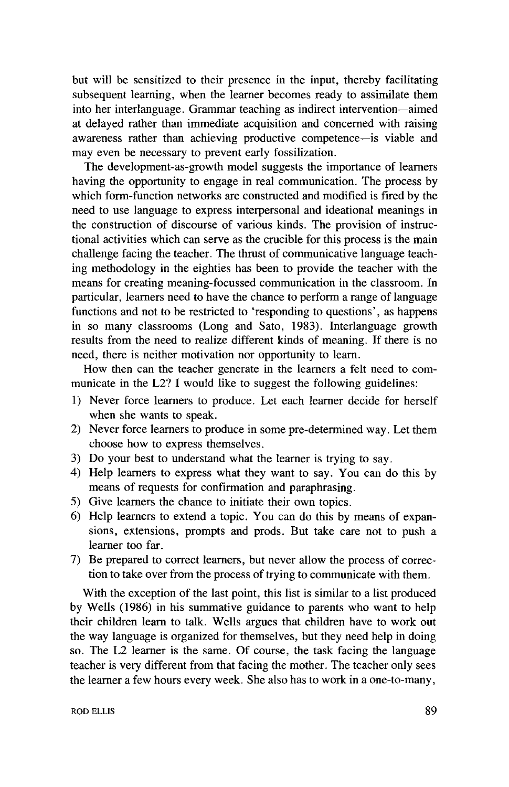but will be sensitized to their presence in the input, thereby facilitating subsequent learning, when the learner becomes ready to assimilate them into her interlanguage. Grammar teaching as indirect intervention-aimed at delayed rather than immediate acquisition and concerned with raising awareness rather than achieving productive competence-is viable and may even be necessary to prevent early fossilization.

The development-as-growth model suggests the importance of learners having the opportunity to engage in real communication. The process by which form-function networks are constructed and modified is fired by the need to use language to express interpersonal and ideational meanings in the construction of discourse of various kinds. The provision of instructional activities which can serve as the crucible for this process is the main challenge facing the teacher. The thrust of communicative language teaching methodology in the eighties has been to provide the teacher with the means for creating meaning-focussed communication in the classroom. In particular, learners need to have the chance to perform a range of language functions and not to be restricted to 'responding to questions', as happens in so many classrooms (Long and Sato, 1983). Interlanguage growth results from the need to realize different kinds of meaning. If there is no need, there is neither motivation nor opportunity to learn.

How then can the teacher generate in the learners a felt need to communicate in the L2? I would like to suggest the following guidelines:

- I) Never force learners to produce. Let each learner decide for herself when she wants to speak.
- 2) Never force learners to produce in some pre-determined way. Let them choose how to express themselves.
- 3) Do your best to understand what the learner is trying to say.
- 4) Help learners to express what they want to say. You can do this by means of requests for confirmation and paraphrasing.
- 5) Give learners the chance to initiate their own topics.
- 6) Help learners to extend a topic. You can do this by means of expansions, extensions, prompts and prods. But take care not to push a learner too far.
- 7) Be prepared to correct learners, but never allow the process of correction to take over from the process of trying to communicate with them.

With the exception of the last point, this list is similar to a list produced by Wells (1986) in his summative guidance to parents who want to help their children learn to talk. Wells argues that children have to work out the way language is organized for themselves, but they need help in doing so. The L2 learner is the same. Of course, the task facing the language teacher is very different from that facing the mother. The teacher only sees the learner a few hours every week. She also has to work in a one-to-many,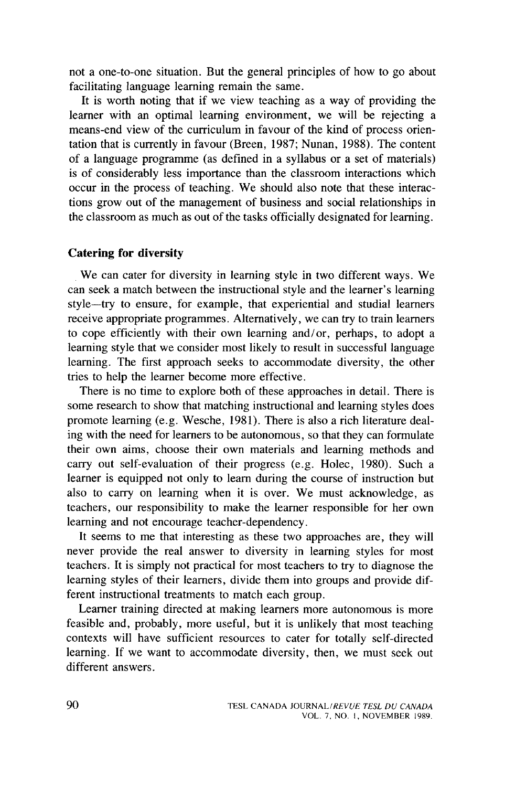not a one-to-one situation. But the general principles of how to go about facilitating language learning remain the same.

It is worth noting that if we view teaching as a way of providing the learner with an optimal learning environment, we will be rejecting a means-end view of the curriculum in favour of the kind of process orientation that is currently in favour (Breen, 1987; Nunan, 1988). The content of a language programme (as defined in a syllabus or a set of materials) is of considerably less importance than the classroom interactions which occur in the process of teaching. We should also note that these interactions grow out of the management of business and social relationships in the classroom as much as out of the tasks officially designated for learning.

# **Catering for diversity**

We can cater for diversity in learning style in two different ways. We can seek a match between the instructional style and the learner's learning style-try to ensure, for example, that experiential and studial learners receive appropriate programmes. Alternatively, we can try to train learners to cope efficiently with their own learning and/or, perhaps, to adopt a learning style that we consider most likely to result in successful language learning. The first approach seeks to accommodate diversity, the other tries to help the learner become more effective.

There is no time to explore both of these approaches in detail. There is some research to show that matching instructional and learning styles does promote learning (e.g. Wesche, 1981). There is also a rich literature dealing with the need for learners to be autonomous, so that they can formulate their own aims, choose their own materials and learning methods and carry out self-evaluation of their progress (e.g. Holec, 1980). Such a learner is equipped not only to learn during the course of instruction but also to carry on learning when it is over. We must acknowledge, as teachers, our responsibility to make the learner responsible for her own learning and not encourage teacher-dependency.

It seems to me that interesting as these two approaches are, they will never provide the real answer to diversity in learning styles for most teachers. It is simply not practical for most teachers to try to diagnose the learning styles of their learners, divide them into groups and provide different instructional treatments to match each group.

Learner training directed at making learners more autonomous is more feasible and, probably, more useful, but it is unlikely that most teaching contexts will have sufficient resources to cater for totally self-directed learning. If we want to accommodate diversity, then, we must seek out different answers.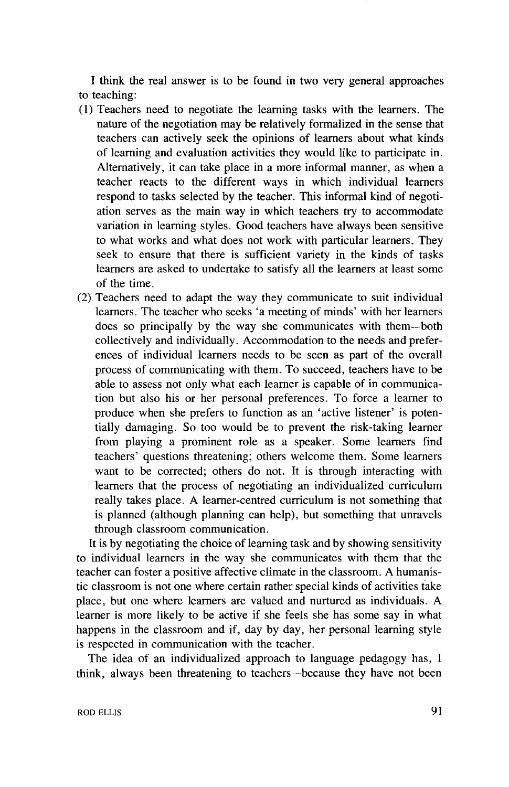I think the real answer is to be found in two very general approaches to teaching:

- (1) Teachers need to negotiate the learning tasks with the learners. The nature of the negotiation may be relatively formalized in the sense that teachers can actively seek the opinions of learners about what kinds of learning and evaluation activities they would like to participate in. Alternatively, it can take place in a more informal manner, as when a teacher reacts to the different ways in which individual learners respond to tasks selected by the teacher. This informal kind of negotiation serves as the main way in which teachers try to accommodate variation in learning styles. Good teachers have always been sensitive to what works and what does not work with particular learners. They seek to ensure that there is sufficient variety in the kinds of tasks learners are asked to undertake to satisfy all the learners at least some of the time.
- (2) Teachers need to adapt the way they communicate to suit individual learners. The teacher who seeks 'a meeting of minds' with her learners does so principally by the way she communicates with them-both collectively and individually. Accommodation to the needs and preferences of individual learners needs to be seen as part of the overall process of communicating with them. To succeed, teachers have to be able to assess not only what each learner is capable of in communication but also his or her personal preferences. To force a learner to produce when she prefers to function as an 'active listener' is potentially damaging. So too would be to prevent the risk-taking learner from playing a prominent role as a speaker. Some learners find teachers' questions threatening; others welcome them. Some learners want to be corrected; others do not. It is through interacting with learners that the process of negotiating an individualized curriculum really takes place. A learner-centred curriculum is not something that is planned (although planning can help), but something that unravels through classroom communication.

It is by negotiating the choice of learning task and by showing sensitivity to individual learners in the way she communicates with them that the teacher can foster a positive affective climate in the classroom. A humanistic classroom is not one where certain rather special kinds of activities take place, but one where learners are valued and nurtured as individuals. A learner is more likely to be active if she feels she has some say in what happens in the classroom and if, day by day, her personal learning style is respected in communication with the teacher.

The idea of an individualized approach to language pedagogy has, I think, always been threatening to teachers-because they have not been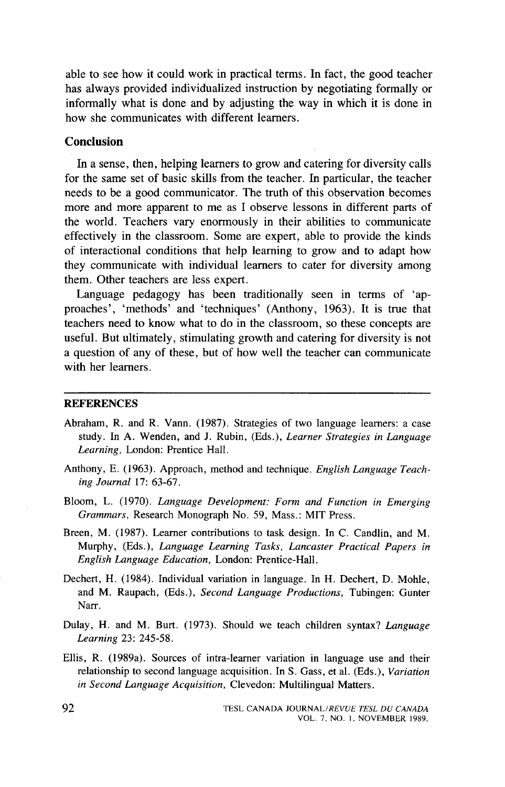able to see how it could work in practical terms. In fact, the good teacher has always provided individualized instruction by negotiating formally or informally what is done and by adjusting the way in which it is done in how she communicates with different learners.

## **Conclusion**

In a sense, then, helping learners to grow and catering for diversity calls for the same set of basic skills from the teacher. In particular, the teacher needs to be a good communicator. The truth of this observation becomes more and more apparent to me as I observe lessons in different parts of the world. Teachers vary enormously in their abilities to communicate effectively in the classroom. Some are expert, able to provide the kinds of interactional conditions that help learning to grow and to adapt how they communicate with individual learners to cater for diversity among them. Other teachers are less expert.

Language pedagogy has been traditionally seen in terms of 'approaches', 'methods' and 'techniques' (Anthony, 1963). It is true that teachers need to know what to do in the classroom, so these concepts are useful. But ultimately, stimulating growth and catering for diversity is not a question of any of these, but of how well the teacher can communicate with her learners.

#### **REFERENCES**

- Abraham, R. and R. Vann. (1987). Strategies of two language learners: a case study. In A. Wenden, and J. Rubin, (Eds.), *Learner Strategies in Language Learning,* London: Prentice Hall.
- Anthony, E. (1963). Approach, method and technique. *English Language Teaching Journal* 17: 63-67.
- Bloom, L. (1970). *Language Development: Form and Function in Emerging Grammars,* Research Monograph No. 59, Mass.: MIT Press.
- Breen, M. (1987). Learner contributions to task design. In C. Candlin, and M. Murphy, (Eds.), *Language Learning Tasks, Lancaster Practical Papers in English Language Education,* London: Prentice-Hall.
- Dechert, H. (1984). Individual variation in language. In H. Dechert, D. Mohle, and M. Raupach, (Eds.), *Second Language Productions,* Tubingen: Gunter Narr.
- Dulay, H. and M. Burt. (1973). Should we teach children syntax? *Language Learning* 23: 245-58.
- Ellis, R. (1989a). Sources of intra-learner variation in language use and their relationship to second language acquisition. In S. Gass, et al. (Eds.), *Variation in Second Language Acquisition,* Clevedon: Multilingual Matters.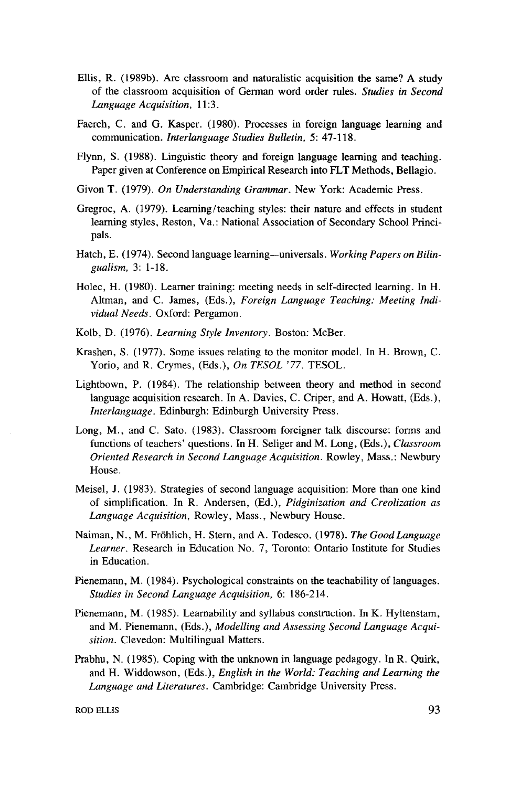- Ellis, R. (1989b). Are classroom and naturalistic acquisition the same? A study of the classroom acquisition of German word order rules. *Studies in Second Language Acquisition.* 11:3.
- Faerch, C. and G. Kasper. (1980). Processes in foreign language learning and communication. *Interlanguage Studies Bulletin,* 5: 47-118.
- Flynn, S. (1988). Linguistic theory and foreign language learning and teaching. Paper given at Conference on Empirical Research into FLT Methods, Bellagio.
- Givon T. (1979). *On Understanding Grammar.* New York: Academic Press.
- Gregroc, A. (1979). Learning/teaching styles: their nature and effects in student learning styles, Reston, Va.: National Association of Secondary School Principals.
- Hatch, E. (1974). Second language learning-universals. *Working Papers on Bilingualism.* 3: 1-18.
- Holec, H. (1980). Learner training: meeting needs in self-directed learning. In H. Altman, and C. James, (Eds.), *Foreign Language Teaching: Meeting Individual Needs.* Oxford: Pergamon.
- Kolb, D. (1976). *Learning Style Inventory.* Boston: McBer.
- Krashen, S. (1977). Some issues relating to the monitor model. In H. Brown, C. Yorio, and R. Crymes, (Eds.), *On TESOL* '77. TESOL.
- Lightbown, P. (1984). The relationship between theory and method in second language acquisition research. In A. Davies, C. Criper, and A. Howatt, (Eds.), *Interlanguage.* Edinburgh: Edinburgh University Press.
- Long, M., and C. Sato. (1983). Classroom foreigner talk discourse: forms and functions of teachers' questions. In H. Seliger and M. Long, (Eds.), *Classroom Oriented Research in Second Language Acquisition.* Rowley, Mass.: Newbury House.
- Meisel, J. (1983). Strategies of second language acquisition: More than one kind of simplification. In R. Andersen, (Ed.), *Pidginization and Creolization as Language Acquisition,* Rowley, Mass., Newbury House.
- Naiman, N., M. Frohlich, H. Stem, and A. Todesco. (1978). *The Good Language Learner.* Research in Education No.7, Toronto: Ontario Institute for Studies in Education.
- Pienemann, M. (1984). Psychological constraints on the teachability of languages. *Studies in Second Language Acquisition,* 6: 186-214.
- Pienemann, M. (1985). Learnability and syllabus construction. In K. Hyltenstam, and M. Pienemann, (Eds.), *Modelling and Assessing Second Language Acquisition.* Clevedon: Multilingual Matters.
- Prabhu, N. (1985). Coping with the unknown in language pedagogy. In R. Quirk, and H. Widdowson, (Eds.), *English in the World: Teaching and Learning the Language and Literatures.* Cambridge: Cambridge University Press.